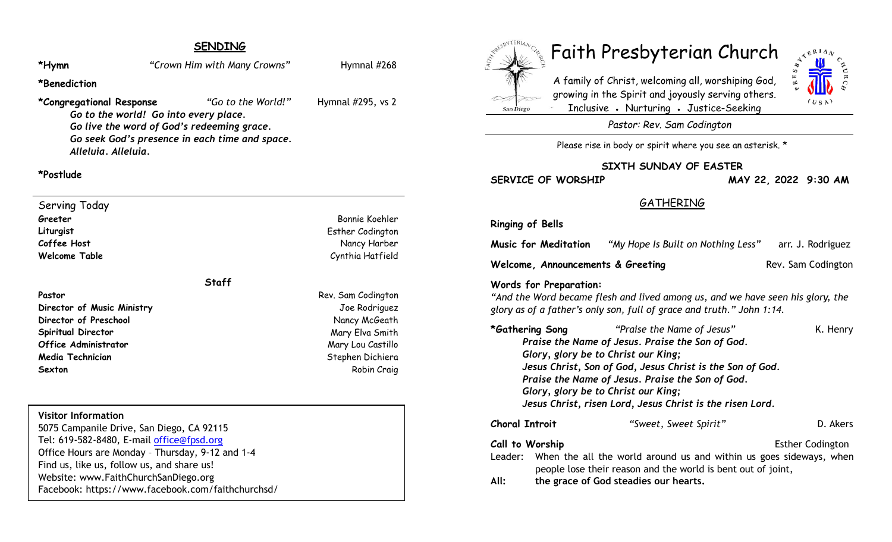# **SENDING**

\*Hymn *Prove a Crown Him with Many Crowns Proven Hymnal #268* 

**\*Benediction**

#### **\*Congregational Response** *"Go to the World!"* Hymnal #295, vs 2

*Go to the world! Go into every place. Go live the word of God's redeeming grace. Go seek God's presence in each time and space. Alleluia. Alleluia.*

### **\*Postlude**

Serving Today **Greeter** Bonnie Koehler **Liturgist** Esther Codington **Coffee Host** Nancy Harber **Welcome Table** Cynthia Hatfield

### **Staff**

Pastor **Pastor** Rev. Sam Codington **Director of Music Ministry** Joe Rodriguez **Director of Preschool** Nancy McGeath **Spiritual Director** Mary Elva Smith **Office Administrator** Mary Lou Castillo **Media Technician** Stephen Dichiera **Sexton** Robin Craig **Robin Craig** 

### **Visitor Information**

5075 Campanile Drive, San Diego, CA 92115 Tel: 619-582-8480, E-mail office@fpsd.org Office Hours are Monday – Thursday, 9-12 and 1-4 Find us, like us, follow us, and share us! Website: www.FaithChurchSanDiego.org Facebook: https://www.facebook.com/faithchurchsd/



# Faith Presbyterian Church

A family of Christ, welcoming all, worshiping God, growing in the Spirit and joyously serving others. Inclusive • Nurturing • Justice-Seeking



*Pastor: Rev. Sam Codington*

Please rise in body or spirit where you see an asterisk. \*

#### **SIXTH SUNDAY OF EASTER**

**SERVICE OF WORSHIP MAY 22, 2022 9:30 AM**

# GATHERING

**Ringing of Bells**

**Music for Meditation** *"My Hope Is Built on Nothing Less"* arr. J. Rodriguez

**Welcome, Announcements & Greeting Rev. Sam Codington** 

#### **Words for Preparation:**

*"And the Word became flesh and lived among us, and we have seen his glory, the glory as of a father's only son, full of grace and truth." John 1:14.*

| *Gathering Song                                                                                  |  | "Praise the Name of Jesus"                                                 | K. Henry                |
|--------------------------------------------------------------------------------------------------|--|----------------------------------------------------------------------------|-------------------------|
| Praise the Name of Jesus. Praise the Son of God.                                                 |  |                                                                            |                         |
| Glory, glory be to Christ our King;<br>Jesus Christ, Son of God, Jesus Christ is the Son of God. |  |                                                                            |                         |
|                                                                                                  |  |                                                                            |                         |
| Glory, glory be to Christ our King;                                                              |  |                                                                            |                         |
| Jesus Christ, risen Lord, Jesus Christ is the risen Lord.                                        |  |                                                                            |                         |
| <b>Choral Introit</b>                                                                            |  | "Sweet, Sweet Spirit"                                                      | D. Akers                |
| Call to Worship                                                                                  |  |                                                                            | <b>Esther Codington</b> |
|                                                                                                  |  | Leader: When the all the world around us and within us goes sideways, when |                         |
|                                                                                                  |  | people lose their reason and the world is bent out of joint,               |                         |
| All:                                                                                             |  | the grace of God steadies our hearts.                                      |                         |